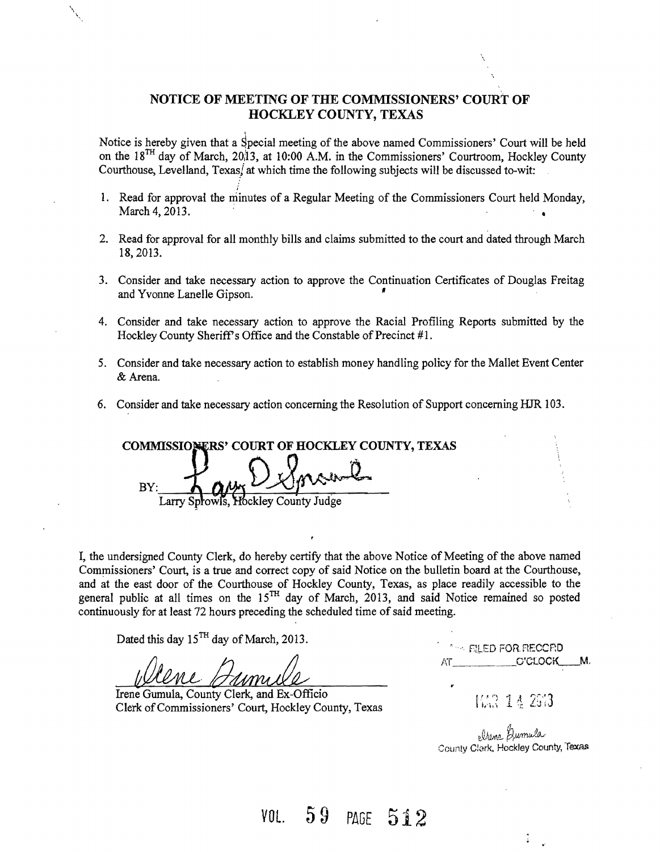#### NOTICE OF MEETING OF THE COMMISSIONERS' COURT OF HOCKLEY COUNTY, TEXAS

Notice is hereby given that a Special meeting of the above named Commissioners' Court will be held on the  $18^{TH}$  day of March, 2013, at 10:00 A.M. in the Commissioners' Courtroom, Hockley County Courthouse, Levelland, *Texas*, at which time the following subjects will be discussed to-wit:

- 1. Read for approval the minutes of a Regular Meeting of the Commissioners Court held Monday, March 4, 2013.
- 2. Read for approval for all monthly bills and claims submitted to the court and dated through March 18,2013.
- 3. Consider and take necessary action to approve the Continuation Certificates of Douglas Freitag and Yvonne Lanelle Gipson. '
- 4. Consider and take necessary action to approve the Racial Profiling Reports submitted by the Hockley County Sheriff's Office and the Constable of Precinct #1.
- S. Consider and take necessary action to establish money handling policy for the Mallet Event Center & Arena.
- 6. Consider and take necessary action concerning the Resolution of Support concerning HJR 103.

 $\mathsf{BY}$ :  $\bigwedge \mathsf{Q} \mathsf{M}$ y  $\bigcup \mathsf{S}$ **COMMISSION** 

I, the undersigned County Clerk, do hereby certify that the above Notice of Meeting of the above named Commissioners' Court, is a true and correct copy of said Notice on the bulletin board at the Courthouse, and at the east door of the Courthouse of Hockley County, Texas, as place readily accessible to the general public at all times on the 15<sup>TH</sup> day of March, 2013, and said Notice remained so posted continuously for at least 72 hours preceding the scheduled time of said meeting.

Dated this day  $15^{TH}$  day of March, 2013.

'. \,

Irene Gumula, County Clerk, and Ex-Officio Clerk of Commissioners' Court, Hockley County, Texas  $\frac{1}{2}$   $\frac{1}{2}$   $\frac{1}{2}$   $\frac{1}{2}$   $\frac{1}{2}$   $\frac{1}{2}$   $\frac{1}{2}$   $\frac{1}{2}$   $\frac{1}{2}$   $\frac{1}{2}$   $\frac{1}{2}$   $\frac{1}{2}$   $\frac{1}{2}$   $\frac{1}{2}$   $\frac{1}{2}$   $\frac{1}{2}$   $\frac{1}{2}$   $\frac{1}{2}$   $\frac{1}{2}$   $\frac{1}{2}$   $\frac{1}{2}$   $\frac{1}{2}$ 

,  $\mathcal{L}_{\mathcal{A}}$ 

 $\left[\begin{smallmatrix} f,f\\f\end{smallmatrix}\right]$ 

elhena *Humula* County Clark, Hockley County, Texas.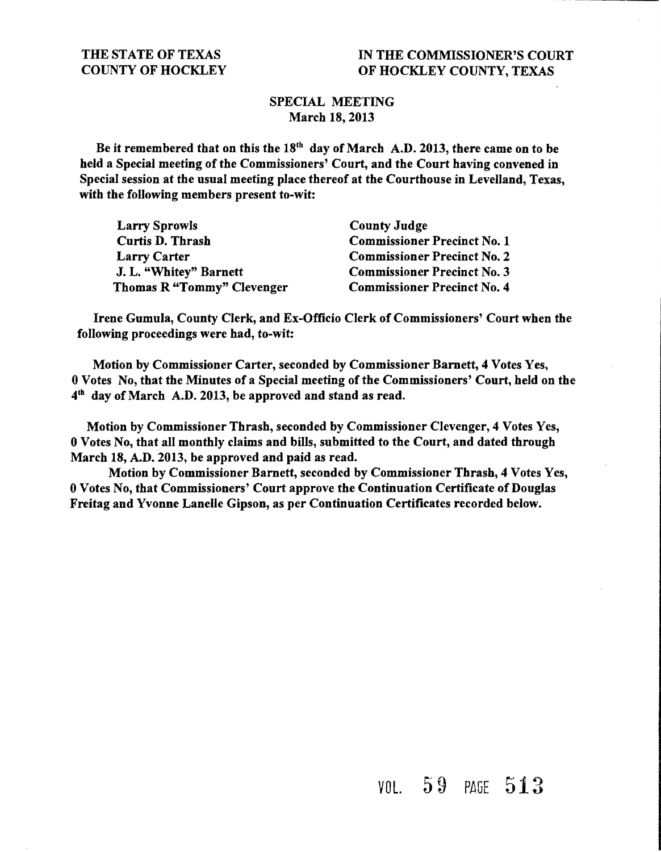#### SPECIAL MEETING March 18,2013

Be it remembered that on this the  $18<sup>th</sup>$  day of March A.D. 2013, there came on to be held a Special meeting of the Commissioners' Court, and the Court having convened in Special session at the usual meeting place thereof at the Courthouse in Levelland, Texas, with the following members present to-wit:

| <b>Larry Sprowls</b>       | <b>County Judge</b>                |
|----------------------------|------------------------------------|
| <b>Curtis D. Thrash</b>    | <b>Commissioner Precinct No. 1</b> |
| <b>Larry Carter</b>        | <b>Commissioner Precinct No. 2</b> |
| J. L. "Whitey" Barnett     | <b>Commissioner Precinct No. 3</b> |
| Thomas R "Tommy" Clevenger | <b>Commissioner Precinct No. 4</b> |

Irene Gumula, County Clerk, and Ex-Officio Clerk of Commissioners' Court when the following proceedings were had, to-wit:

Motion by Commissioner Carter, seconded by Commissioner Barnett, 4 Votes Yes, 0 Votes No, that the Minutes of a Special meeting of the Commissioners' Court, held on the 4<sup>th</sup> day of March A.D. 2013, be approved and stand as read.

Motion by Commissioner Thrash, seconded by Commissioner Clevenger, 4 Votes Yes, 0 Votes No, that all monthly claims and bills, submitted to the Court, and dated through March 18, A.D. 2013, be approved and paid as read.

Motion by Commissioner Barnett, seconded by Commissioner Thrash, 4 Votes Yes, 0 Votes No, that Commissioners' Court approve the Continuation Certificate of Douglas Freitag and Yvonne Lanelle Gipson, as per Continuation Certificates recorded below.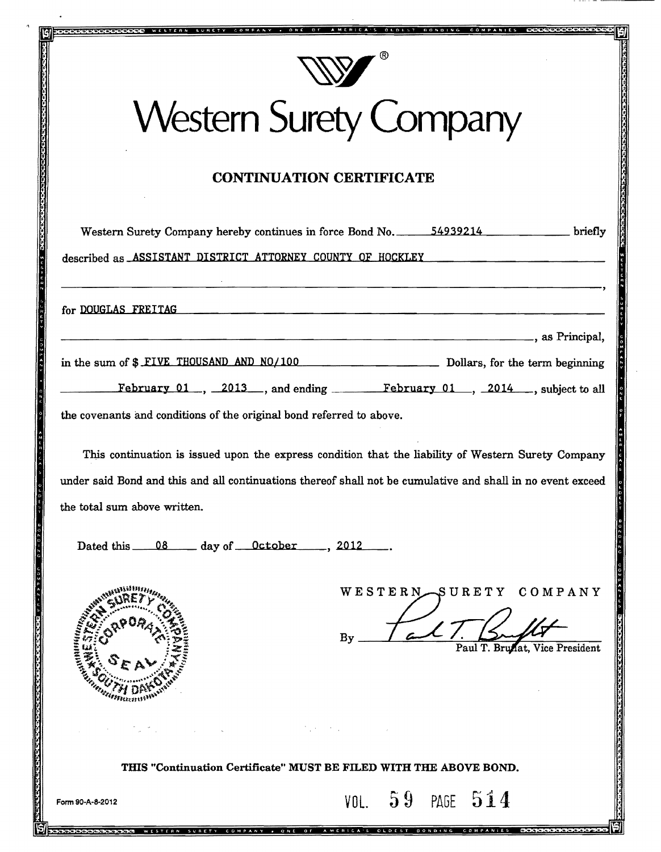| <b>Western Surety Company</b>                                                                                                                                                                                                                      |                                 |                  |                                                                        |  |
|----------------------------------------------------------------------------------------------------------------------------------------------------------------------------------------------------------------------------------------------------|---------------------------------|------------------|------------------------------------------------------------------------|--|
|                                                                                                                                                                                                                                                    | <b>CONTINUATION CERTIFICATE</b> |                  |                                                                        |  |
| Western Surety Company hereby continues in force Bond No. 54939214 https://www.friefly.com/<br>described as ASSISTANT DISTRICT ATTORNEY COUNTY OF HOCKLEY                                                                                          |                                 |                  |                                                                        |  |
| for DOUGLAS FREITAG <b>And Contained Act and Contained Act of the Contained Act of the Contained Act of the Contained Act of the Contained Act of the Contained Act of the Contained Act of the Contained Act of the Contained A</b>               |                                 |                  |                                                                        |  |
| in the sum of \$ FIVE THOUSAND AND NO/100 Dollars, for the term beginning<br>February 01, 2013, and ending February 01, 2014, subject to all<br>the covenants and conditions of the original bond referred to above.                               |                                 |                  |                                                                        |  |
| This continuation is issued upon the express condition that the liability of Western Surety Company<br>under said Bond and this and all continuations thereof shall not be cumulative and shall in no event exceed<br>the total sum above written. |                                 |                  |                                                                        |  |
| Dated this 08 day of 0ctober 2012                                                                                                                                                                                                                  |                                 |                  |                                                                        |  |
|                                                                                                                                                                                                                                                    | $\mathbf{B}\mathbf{y}$          |                  | WESTERN-SURETY<br>COMPANY<br><b>Brunat</b> , Vice President<br>Paul T. |  |
|                                                                                                                                                                                                                                                    |                                 |                  |                                                                        |  |
| THIS "Continuation Certificate" MUST BE FILED WITH THE ABOVE BOND.                                                                                                                                                                                 |                                 | VOL. 59 PAGE 514 |                                                                        |  |

AMERICA'S OLDEST BONDING COMPANIES

 $O<sub>f</sub>$ 

 $\begin{array}{c} \n\cdot & \cdot & \cdot \\ \n\cdot & \cdot & \cdot \n\end{array}$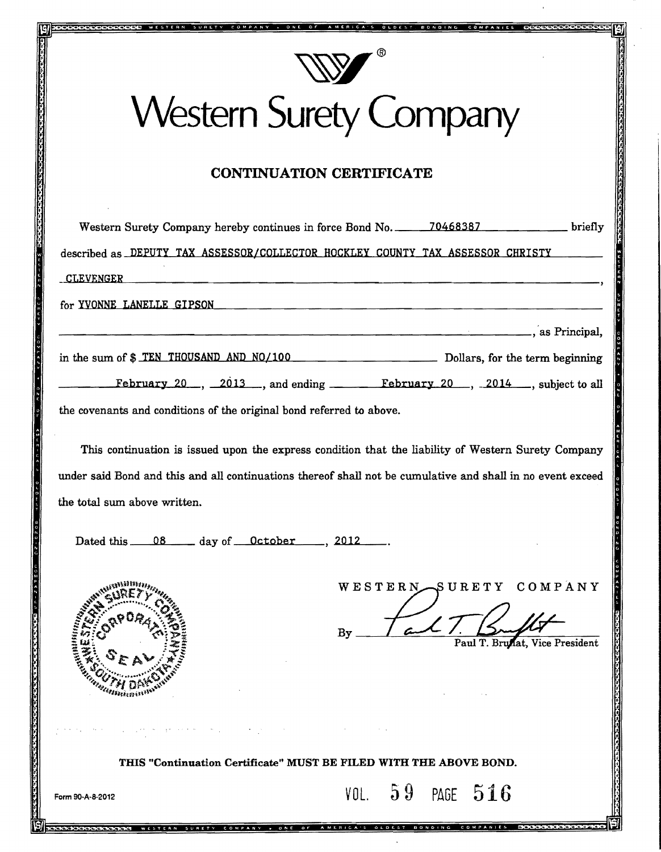| ONE<br>$O$ $F$                                                                                                                                                                                                                                     | AMERICA'S<br><b>BONDING</b>                                                                                                                                                                                                          |
|----------------------------------------------------------------------------------------------------------------------------------------------------------------------------------------------------------------------------------------------------|--------------------------------------------------------------------------------------------------------------------------------------------------------------------------------------------------------------------------------------|
|                                                                                                                                                                                                                                                    |                                                                                                                                                                                                                                      |
| <b>Western Surety Company</b>                                                                                                                                                                                                                      |                                                                                                                                                                                                                                      |
| <b>CONTINUATION CERTIFICATE</b>                                                                                                                                                                                                                    |                                                                                                                                                                                                                                      |
| Western Surety Company hereby continues in force Bond No. ______70468387_______________ briefly                                                                                                                                                    |                                                                                                                                                                                                                                      |
| described as DEPUTY TAX ASSESSOR/COLLECTOR HOCKLEY COUNTY TAX ASSESSOR CHRISTY                                                                                                                                                                     |                                                                                                                                                                                                                                      |
| <b>CLEVENGER</b>                                                                                                                                                                                                                                   |                                                                                                                                                                                                                                      |
| for YVONNE LANELLE GIPSON                                                                                                                                                                                                                          |                                                                                                                                                                                                                                      |
|                                                                                                                                                                                                                                                    | <u>2003 - Andrea Brincipal, as Principal, as Principal, as Principal, as Principal, as Principal, as Principal, as Principal, as Principal, as Principal, as Principal, as Principal, as Principal, as Principal, as Principal, </u> |
| in the sum of \$ TEN THOUSAND AND NO/100 Dollars, for the term beginning                                                                                                                                                                           | 0.88462                                                                                                                                                                                                                              |
|                                                                                                                                                                                                                                                    | February 20, 2013, and ending <u>February 20</u> , 2014, subject to all                                                                                                                                                              |
| the covenants and conditions of the original bond referred to above.                                                                                                                                                                               |                                                                                                                                                                                                                                      |
| This continuation is issued upon the express condition that the liability of Western Surety Company<br>under said Bond and this and all continuations thereof shall not be cumulative and shall in no event exceed<br>the total sum above written. |                                                                                                                                                                                                                                      |
| Dated this 08 day of 0ctober 2012                                                                                                                                                                                                                  |                                                                                                                                                                                                                                      |
|                                                                                                                                                                                                                                                    | $\begin{array}{c} 0.52 \text{ m} & 4.2 - \text{m} \\ 0.52 \text{ m} & 0.5 \end{array}$<br>COMPANY<br>WESTERN<br>SURETY<br><b>Selected and Select</b><br>Bv<br>Paul T. Brunat,<br>Vice President                                      |
|                                                                                                                                                                                                                                                    |                                                                                                                                                                                                                                      |
| THIS "Continuation Certificate" MUST BE FILED WITH THE ABOVE BOND.                                                                                                                                                                                 |                                                                                                                                                                                                                                      |
| Form 90-A-8-2012<br>WESTERN SURETY COMPANY . ONE OF AMERICA'S OLDEST BONDING COMPANIES                                                                                                                                                             | VOL. 59<br>PAGE 516                                                                                                                                                                                                                  |

 $\ddot{\phantom{0}}$ 

• •f ր<br>3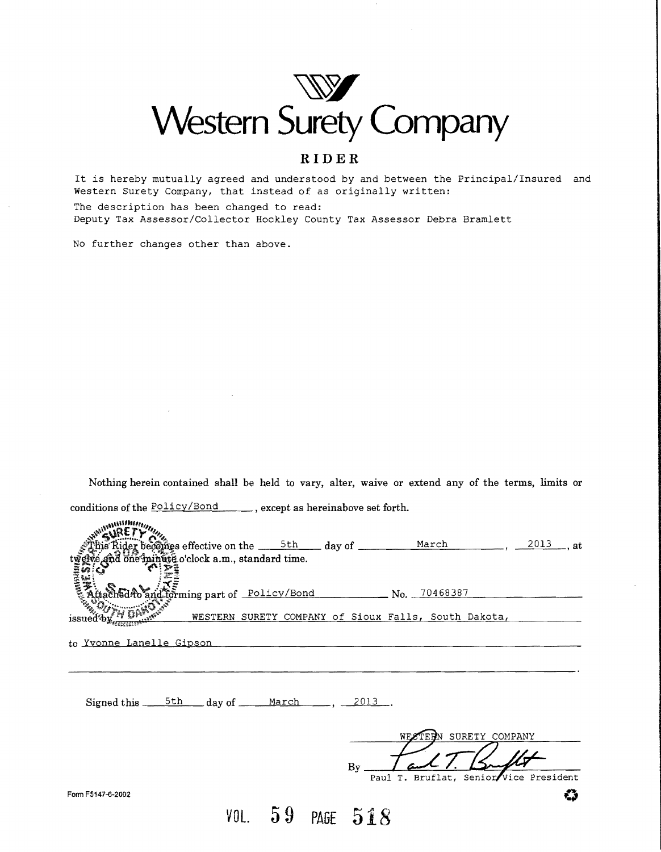

#### **RIDER**

It is hereby mutually agreed and understood by and between the Principal/Insured and Western Surety Company, that instead of as originally written:

The description has been changed to read: Deputy Tax Assessor/Collector Hockley County Tax Assessor Debra Bramlett

No further changes other than above.

Nothing herein contained shall be held to vary, alter, waive or extend any of the terms, limits or

conditions of the  $\frac{Policy/Bond}{$ , except as hereinabove set forth.

| $\frac{1}{2}$ becomes effective on the $5th$ day of _____<br>e and one minute o'clock a.m., standard time. |                                                      | March            | 2013 | . at |
|------------------------------------------------------------------------------------------------------------|------------------------------------------------------|------------------|------|------|
| ttach dromand forming part of Policy/Bond                                                                  |                                                      | $N_0$ , 70468387 |      |      |
| AttaC<br>ترتیب<br>issued by<br><b><i><i>* Virgi</i>na</i></b>                                              | WESTERN SURETY COMPANY of Sioux Falls, South Dakota, |                  |      |      |
| to Yvonne Lanelle Gipson                                                                                   |                                                      |                  |      |      |

**VOL 59 PAGE 518** 

Signed this  $5th$  day of March 2013.

SURETY COMPANY By Paul T. Bruflat, Senior Vice President

€

Form F5147-6-2002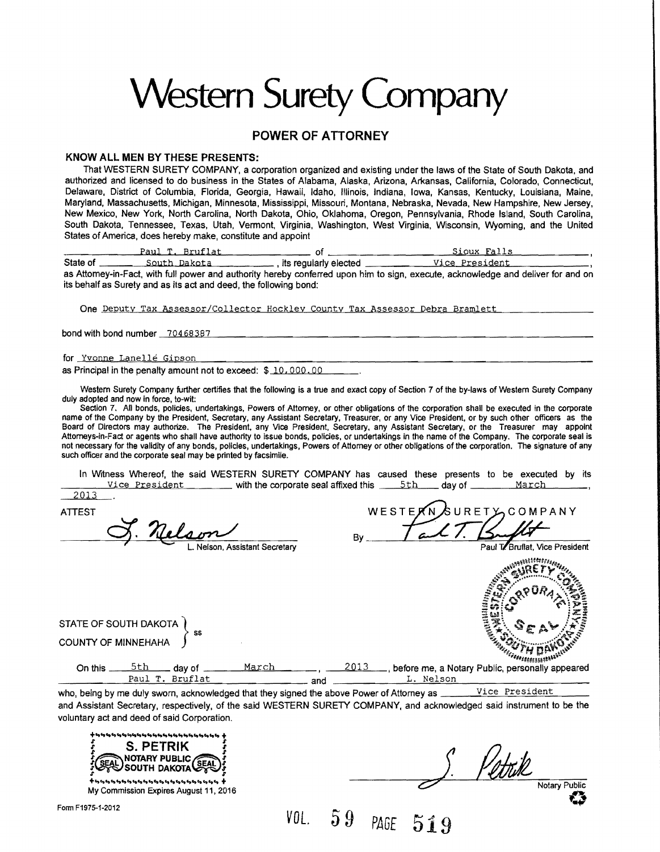# **Western Surety Company**

#### **POWER OF ATTORNEY**

#### **KNOW ALL MEN BY THESE PRESENTS:**

That WESTERN SURETY COMPANY. a corporation organized and existing under the laws of the State of South Dakota, and authorized and licensed to do business in the States of Alabama, Alaska, Arizona, Arkansas. California. Colorado, Connecticut. Delaware, District of Columbia, Florida, Georgia, Hawaii, Idaho, Illinois, Indiana. Iowa. Kansas. Kentucky. Louisiana. Maine, Maryland, Massachusetts, Michigan, Minnesota, MisSissippi, Missouri, Montana, Nebraska, Nevada, New Hampshire, New Jersey. New Mexico, New York, North Carolina, North Dakota, Ohio, Oklahoma, Oregon, Pennsylvania, Rhode Island. South Carolina, South Dakota, Tennessee. Texas, Utah, Vermont, Virginia. Washington. West Virginia. Wisconsin, Wyoming, and the United States of America, does hereby make, constitute and appoint

Paul T. Bruflat of Sioux Falls State of South Dakota , its regularly elected Vice President , as Attomey-in-Fact, with full power and authority hereby conferred upon him to sign, execute, acknowledge and deliver for and on its behalf as Surety and as its act and deed, the following bond:

One Deputy Tax Assessor/Collector Hockley County Tax Assessor Debra Bramlett

bond with bond number  $.70468387$ 

for Yvonne Lanellé Gipson

as Principal in the penalty amount not to exceed: \$ 10,000.00

Westem Surety Company further certifies that the following is a true and exact copy of Section 7 of the by-laws of Western Surety Company duly adopted and now in force. to-wit:

Section 7. All bonds. policies, undertakings, Powers of Attorney. or other obligations of the corporation shall be executed in the corporate name of the Company by the President, Secretary, any Assistant Secretary, Treasurer. or any Vice President, or by such other officers as the Board of Directors may authorize. The President. any Vice President, Secretary. any Assistant Secretary. or the Treasurer may appoint Attorneys-in-Fact or agents who shall have authority to issue bonds, policies. or undertakings in the name of the Company. The corporate seal is not necessary for the validity of any bonds, policies, undertakings, Powers of Attorney or other obligations of the corporation. The signature of any such officer and the corporate seal may be printed by facsimile.

In Witness Whereof, the said WESTERN SURETY COMPANY has caused these presents to be executed by its Vice President **with the corporate seal affixed this** 5th day of March

2013

ATTEST nelson

ゟ∪RET と C O M P A N Y WESTERN Paul T. Bruflat, Vice President

STATE OF SOUTH DAKOTA | COUNTY OF MINNEHAHA

**SEARCH BATTLES** 2013 \_\_\_, before me, a Notary Public, personally appeared On this  $5th$  day of <u>March</u> Paul T. Bruflat \_\_\_..:...=.=-==-:::.::==-= and

who, being by me duly sworn, acknowledged that they signed the above Power of Attorney as  $\_$ and Assistant Secretary, respectively, of the said WESTERN SURETY COMPANY, and acknowledged said instrument to be the voluntary act and deed of said Corporation.



 ~ Notary Public My Commission Expires August 11, 2016 **f:.\*'** ...... Form F1975-1-2Q12 *VOL.* **59** PAGE **519**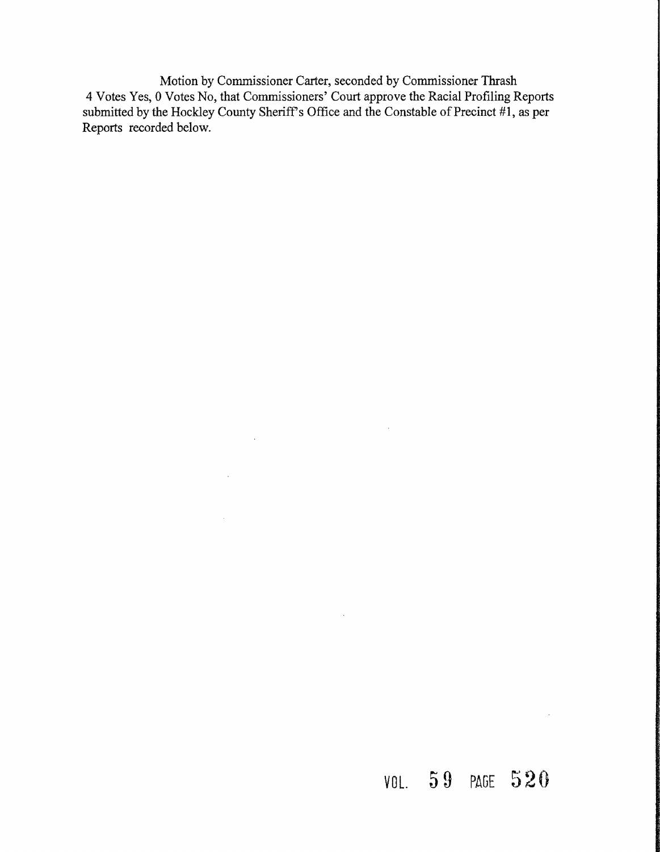Motion by Commissioner Carter, seconded by Commissioner Thrash 4 Votes Yes, 0 Votes No, that Commissioners' Court approve the Racial Profiling Reports submitted by the Hockley County Sheriff's Office and the Constable of Precinct  $#1$ , as per Reports recorded below.

 $\sim$ 

 $\sim$ 

 $\bar{\gamma}$ 

 $\mathcal{A}^{\mathcal{A}}$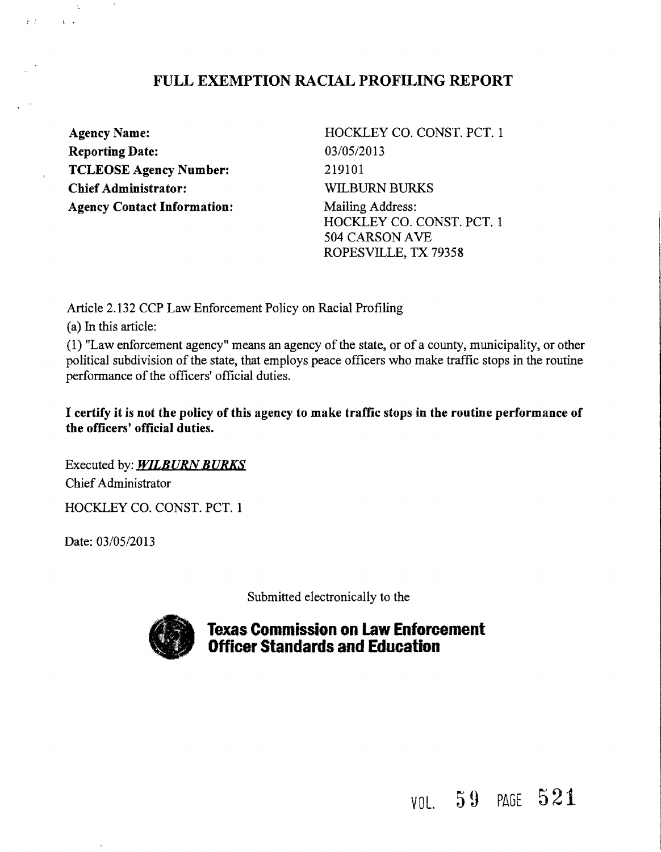#### **FULL EXEMPTION RACIAL PROFILING REPORT**

**Reporting Date:** 03/05/2013 **TCLEOSE Agency Number:** 219101 **Chief Administrator:** WILBURN BURKS **Agency Contact Information:** Mailing Address:

**Agency Name:** HOCKLEY CO. CONST. PCT. 1 HOCKLEY CO. CONST. PCT. 1 504 CARSON AVE ROPESVILLE, TX 79358

Article 2.132 CCP Law Enforcement Policy on Racial Profiling

(a) In this article:

 $r$  ,  $r$  ,  $r$  ,  $r$ 

(1) "Law enforcement agency" means an agency of the state, or of a county, municipality, or other political subdivision of the state, that employs peace officers who make traffic stops in the routine performance of the officers' official duties.

**I certify it is not the policy of this agency to make traffic stops in the routine performance of the officers' official duties.** 

Executed by: *WlLBURNBURKS*  Chief Administrator HOCKLEY CO. CONST. PCT. 1

Date: 03/05/2013

Submitted electronically to the



**Texas Commission on Law Enforcement Officer Standards and Education**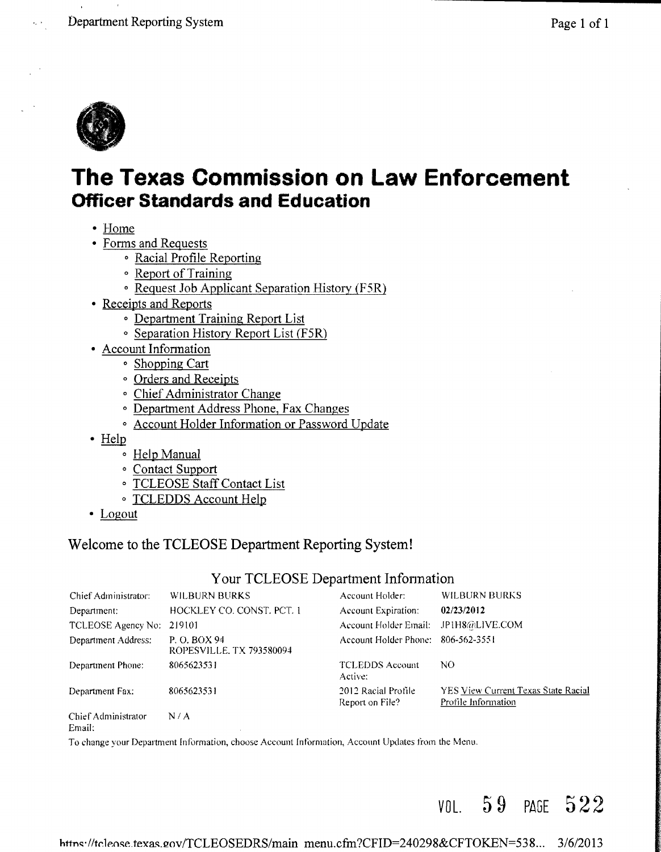



 $\epsilon_{\rm{in}}$   $\rightarrow$ 

# **The** Texas Commission, **on Law Enforcement Officer Standards and Education**

- Home
- Fonns and Requests
	- o Racial Profile Reporting
	- o Report of Training
	- Request Job Applicant Separation History (F5R)
- Receipts and Reports
	- o Department Training Report List
	- o Separation History Report List (F5R)
- Account Information
	- o Shopping Cart
	- o Orders and Receipts
	- o Chief Administrator Change
	- o Department Address Phone, Fax Changes
	- o Account Holder Information or Password Update
- Help
	- o Help Manual
	- o Contact Support
	- o TCLEOSE Staff Contact List
	- o TCLEDDS Account Help
- Logout

#### Welcome to the TCLEOSE Department Reporting System!

#### Your TCLEOSE Department Information

| Chief Administrator:          | <b>WILBURN BURKS</b>                    | Account Holder:                        | <b>WILBURN BURKS</b>                                       |
|-------------------------------|-----------------------------------------|----------------------------------------|------------------------------------------------------------|
| Department:                   | HOCKLEY CO. CONST. PCT. 1               | Account Expiration:                    | 02/23/2012                                                 |
| TCLEOSE Agency No:            | 219101                                  | Account Holder Email:                  | JP1H8@LIVE.COM                                             |
| Department Address:           | P.O. BOX 94<br>ROPESVILLE, TX 793580094 | Account Holder Phone: 806-562-3551     |                                                            |
| Department Phone:             | 8065623531                              | <b>TCLEDDS</b> Account<br>Active:      | NO.                                                        |
| Department Fax:               | 8065623531                              | 2012 Racial Profile<br>Report on File? | YES View Current Texas State Racial<br>Profile Information |
| Chief Administrator<br>Email: | N/A                                     |                                        |                                                            |
|                               |                                         |                                        |                                                            |

To change your Department Information, choose Account Information, Account Updates from the Menu.

VOL. 5 9 PAGE 522

httns://tcleose.texas.gov/TCLEOSEDRS/main menu.cfm?CFID=240298&CFTOKEN=538... 3/6/2013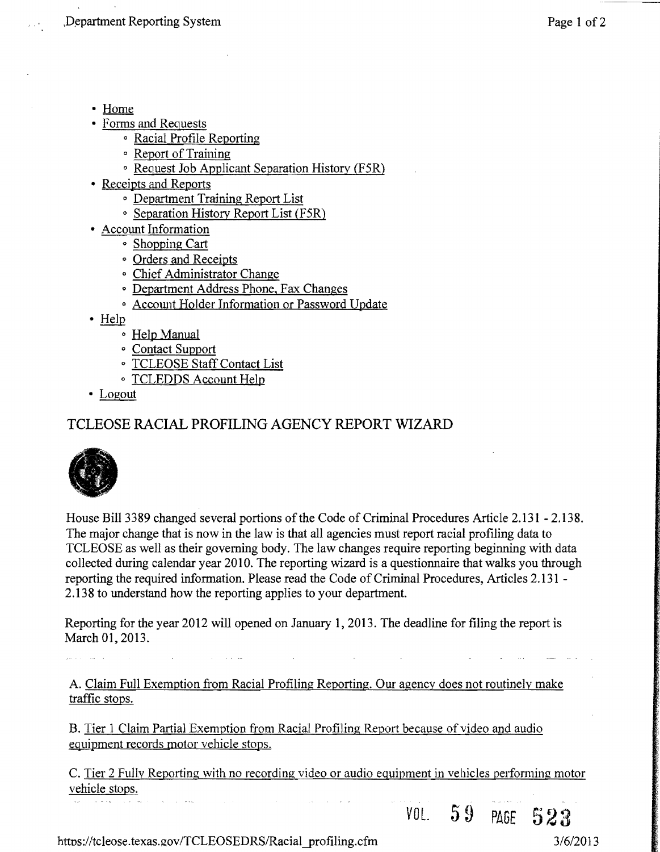- Home
- Forms and Requests
	- " Racial Profile Reporting
	- Report of Training
	- o Request Job Applicant Separation History (F5R)
- Receipts and Reports
	- o Department Training Report List
	- Separation History Report List (F5R)
- Account Information
	- o Shopping Cart
	- · Orders and Receipts
	- o Chief Administrator Change
	- o Department Address Phone, Fax Changes
	- o Account Holder Information or Password Update
- Help
	- o Help Manual
	- o Contact Support
	- " TCLEOSE Staff Contact List
	- " TCLEDDS Account Help
- Logout

#### TCLEOSE RACIAL PROFILING AGENCY REPORT WIZARD



House Bill 3389 changed several portions of the Code of Criminal Procedures Article 2.131 - 2.138. The major change that is now in the law is that all agencies must report racial profiling data to TCLEOSE as well as their governing body. The law changes require reporting beginning with data collected during calendar year 2010. The reporting wizard is a questionnaire that walks you through reporting the required information. Please read the Code of Criminal Procedures, Articles 2.131 -2.138 to understand how the reporting applies to your department.

Reporting for the year 2012 will opened on January 1, 2013. The deadline for filing the report is March 01, 2013.

A. Claim Full Exemption from Racial Profiling Reporting. Our agency does not routinelv make traffic stops.

B. Tier 1 Claim Partial Exemption from Racial Profiling Report because of video and audio equipment records motor vehicle stops.

C. Tier 2 Fully Reporting with no recording video or audio equipment in vehicles performing motor vehicle stops.

VOL.  $59$  PAGE  $523$ 

https://tcleose.texas.gov/TCLEOSEDRS/Racial profiling.cfm 3/6/2013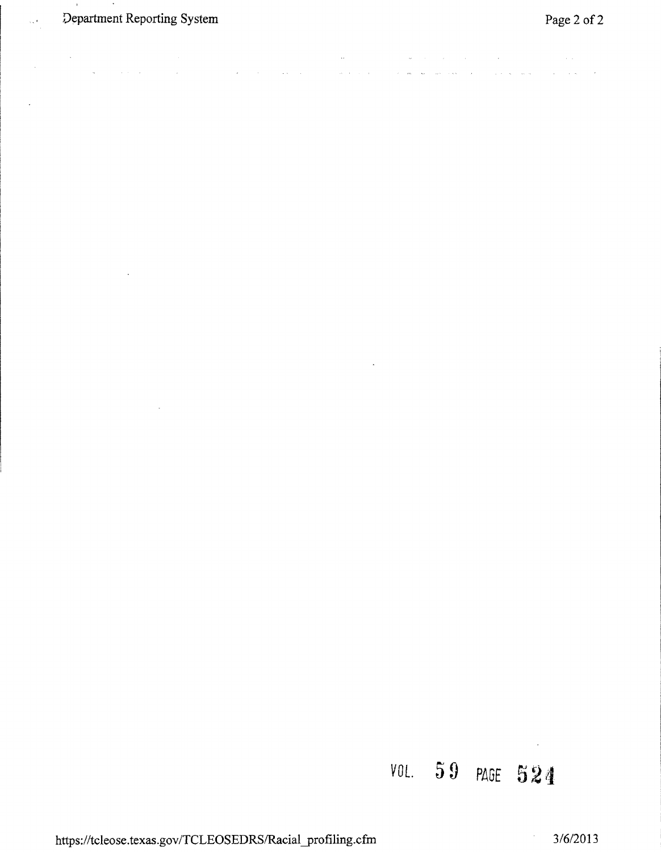$\bar{z}$ 

 $\sim$ 

 $\hat{\mathcal{A}}$ 

and the contract of the

 $\sim 10^7$ 

 $\mathcal{A}$ 

 $\hat{\mathcal{L}}$ 

 $\label{eq:2.1} \left\langle \left( \hat{a}^{\dagger} \hat{a}^{\dagger} \hat{a}^{\dagger} \hat{a}^{\dagger} \hat{a}^{\dagger} \hat{a}^{\dagger} \hat{a}^{\dagger} \hat{a}^{\dagger} \hat{a}^{\dagger} \hat{a}^{\dagger} \hat{a}^{\dagger} \hat{a}^{\dagger} \hat{a}^{\dagger} \hat{a}^{\dagger} \hat{a}^{\dagger} \hat{a}^{\dagger} \hat{a}^{\dagger} \hat{a}^{\dagger} \hat{a}^{\dagger} \hat{a}^{\dagger} \hat{a$ 

 $\mathcal{L}^{\mathcal{L}}$  and  $\mathcal{L}^{\mathcal{L}}$  are the set of the set of the  $\mathcal{L}^{\mathcal{L}}$ 

 $\langle \hat{z}_k \hat{z}_k \rangle$  ,  $\hat{z}_k \hat{z}_k \rangle$  ,  $\langle \hat{z}_k \rangle$ 

 $\label{eq:1} \hat{\rho} = \hat{\rho} + \rho \hat{a} = -\hat{a} \hat{a}$ 

 $\bar{\mathcal{A}}$ 

 $\hat{f}^{\dagger}$  and  $\hat{f}^{\dagger}$  are the set of the set of the set of the set of the set of the set of the set of the set of the set of the set of the set of the set of the set of the set of the set of the set of the set of

# *VOL.* 5 9 PAGE 5**21**

https:lltcleose.texas.gov/TCLEOSEDRSlRacial-profiling.cfm *3/6/2013*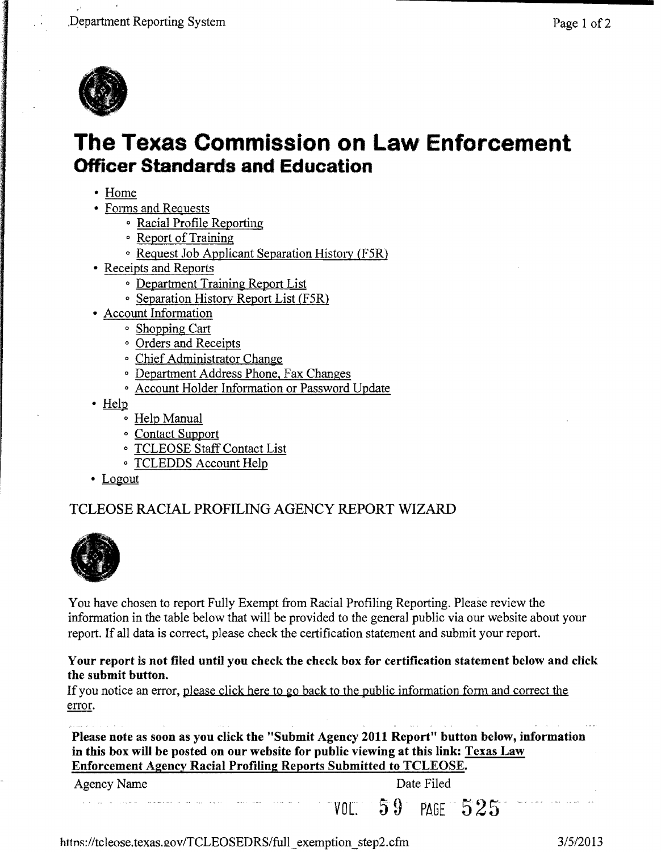

# **The Texas Commission on Law Enforcement Officer Standards and Education**

- Home
- Forms and Requests
	- Racial Profile Reporting
	- Report of Training
	- Request Job Applicant Separation History (F5R)
- Receipts and Reports
	- o Department Training Report List
	- o Separation History Report List (F5R)
- Account Information
	- o Shopping Cart
	- o Orders and Receipts
	- o Chief Administrator Change
	- Department Address Phone, Fax Changes
	- o Account Holder Information or Password Update
- Help
	- Help Manual
	- Contact Support
	- o TCLEOSE Staff Contact List
	- TCLEDDS Account Help
- Logout

#### TCLEOSE RACIAL PROFILING AGENCY REPORT WIZARD



You have chosen to report Fully Exempt from Racial Profiling Reporting. Please review the information in the table below that will be provided to the general public via our website about your report. If all data is correct, please check the certification statement and submit your report.

#### Your report is not filed until you check the check box for certification statement below and click the submit button.

If you notice an error, please click here to go back to the public information form and correct the error.

Please note as soon as you click the "Submit Agency 2011 Report" button below, information in this box will be posted on our website for public viewing at this link: Texas Law Enforcement Agency Racial Profiling Reports Submitted to TCLEOSE.

| Agency Name |  |
|-------------|--|
|-------------|--|

Date Filed

**VOI. 59 PAGE 525** 

httns:lltcleose. texas. gov *ITCLEOSED*RS/full\_ exemption \_ step2.cfrn *3/5/2013*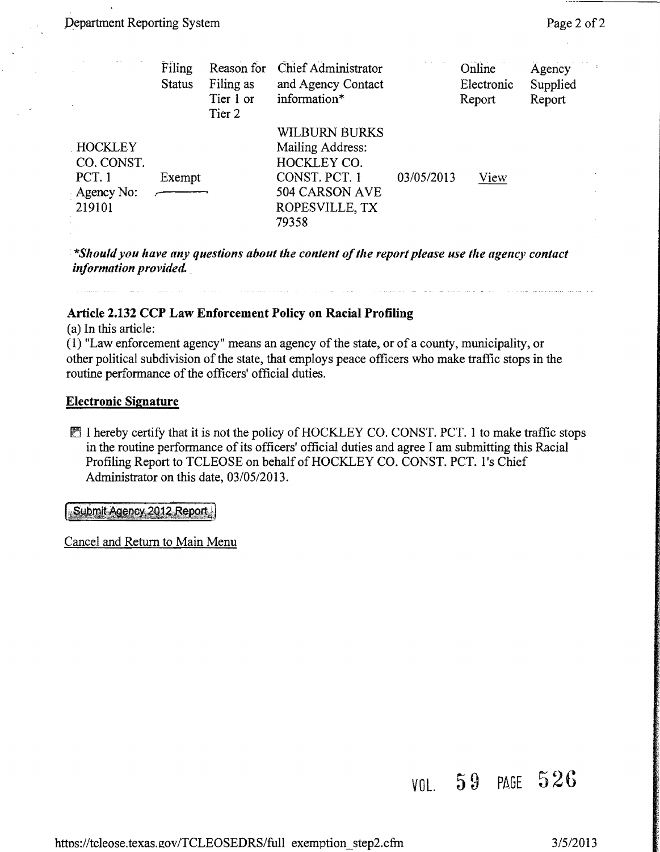|                                                                | Filing<br><b>Status</b> | Reason for<br>Filing as<br>Tier 1 or<br>Tier 2 | Chief Administrator<br>and Agency Contact<br>information*                                                             |            | Online<br>Electronic<br>Report | Agency<br>Supplied<br>Report |
|----------------------------------------------------------------|-------------------------|------------------------------------------------|-----------------------------------------------------------------------------------------------------------------------|------------|--------------------------------|------------------------------|
| <b>HOCKLEY</b><br>CO. CONST.<br>PCT. 1<br>Agency No:<br>219101 | Exempt                  |                                                | <b>WILBURN BURKS</b><br>Mailing Address:<br>HOCKLEY CO.<br>CONST. PCT. 1<br>504 CARSON AVE<br>ROPESVILLE, TX<br>79358 | 03/05/2013 | View                           |                              |

*\*Should you have any questions about the content of the report please use the agency contact information provided. .* 

الموسان الشوار فقد فتوعد والرادات المراقبين

#### Article 2.132 CCP Law Enforcement Policy on Racial Profiling

(a) In this article:

(1) "Law enforcement agency" means an agency of the state, or of a county, municipality, or other political subdivision of the state, that employs peace officers who make traffic stops in the routine performance of the officers' official duties.

#### Electronic Signature

■ I hereby certify that it is not the policy of HOCKLEY CO. CONST. PCT. 1 to make traffic stops in the routine performance of its officers' official duties and agree I am submitting this Racial Profiling Report to TCLEOSE on behalf of HOCKLEY CO. CONST. PCT. 1's Chief Administrator on this date, 03/05/2013.

Submit Agency 2012 Report

Cancel and Return to Main Menu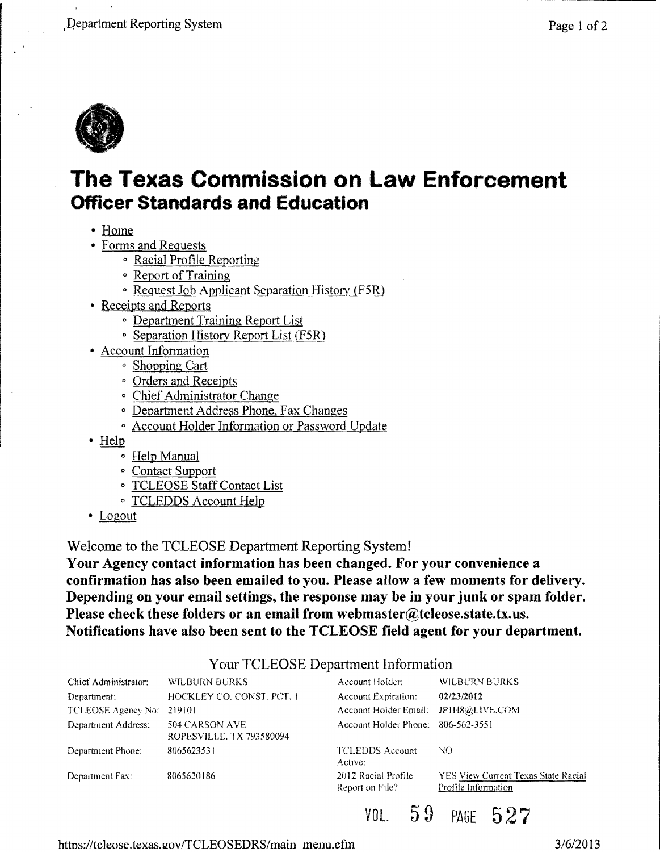



### **The Texas Commission on Law Enforcement Officer Standards and Education**

- Home
- Forms and Requests
	- o Racial Profile Reporting
	- o Report of Training
	- o Request Job Applicant Separation History (F5R)
- Receipts and Reports
	- o Department Training Report List
	- o Separation History Report List (F5R)
- Account Information
	- o Shopping Cart
	- o Orders and Receipts
	- o Chief Administrator Change
	- o Department Address Phone, Fax Changes
	- o Account Holder Information or Password Update
- Help
	- o Help Manual
	- o Contact Support
	- o TCLEOSE Staff Contact List
	- o TCLEDDS Account He]p
- Logout

Welcome to the TCLEOSE Department Reporting System!

**Your Agency contact information has been changed. For your convenience a** confirmation has also been emailed to you. Please allow a few moments for delivery. **Depending on your email settings, the response may be in your junk or spam folder.** Please check these folders or an email from webmaster@tcleose.state.tx.us. Notifications have also been sent to the TCLEOSE field agent for your department.

| Chief Administrator:      | WILBURN BURKS                              | Account Holder:                        | WILBURN BURKS                                              |
|---------------------------|--------------------------------------------|----------------------------------------|------------------------------------------------------------|
| Department:               | HOCKLEY CO. CONST. PCT. 1                  | Account Expiration:                    | 02/23/2012                                                 |
| TCLEOSE Agency No: 219101 |                                            | Account Holder Email:                  | JPIH8@LIVE.COM                                             |
| Department Address:       | 504 CARSON AVE<br>ROPESVILLE, TX 793580094 | Account Holder Phone:                  | 806-562-3551                                               |
| Department Phone:         | 8065623531                                 | TCLEDDS Account<br>Active:             | NO.                                                        |
| Department Fax:           | 8065620186                                 | 2012 Racial Profile<br>Report on File? | YES View Current Texas State Racial<br>Profile Information |

VOL. 59 PAGE 527

#### Your TCLEOSE Department Information

https://tcleose.texas.gov/TCLEOSEDRS/main menu.cfm 3/6/2013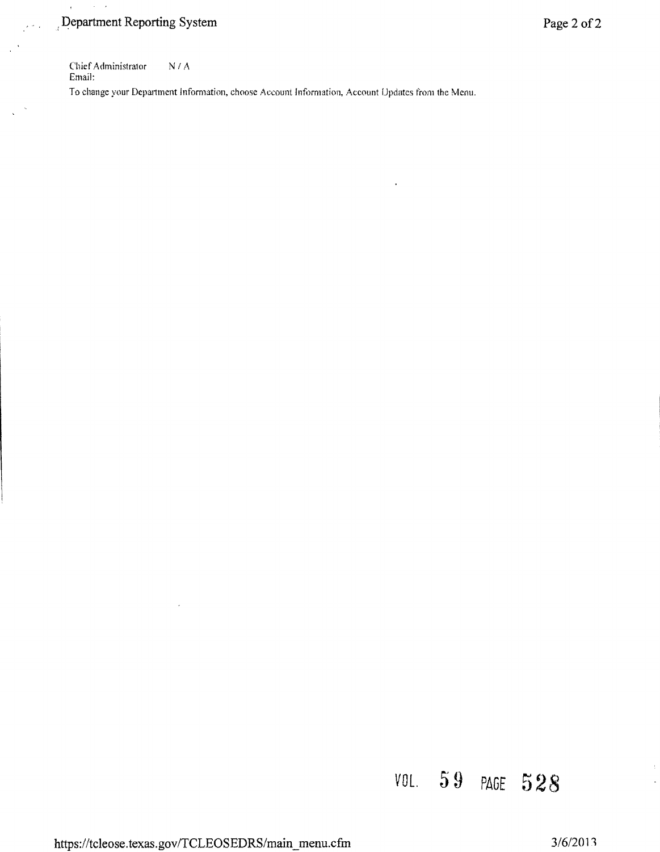#### **I** Department Reporting System Page 2 of 2

 $\epsilon$ 

 $\ddot{\bar{\mathbf{v}}}$ 

Chief Administrator N / A Email:

To change your Department Information, choose Account Information, Account Updates from the Menu.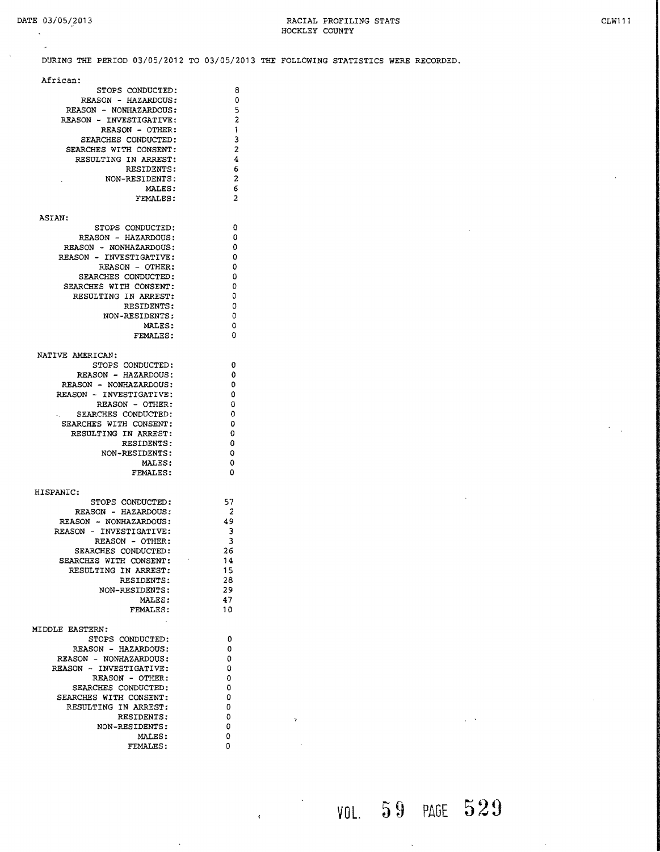DURING THE PERIOD 03/05/2012 TO 03/05/2013 THE FOLLOWING STATISTICS WERE RECORDED.

ķ

 $\ddot{\phantom{0}}$ 

| African:                                      |                |
|-----------------------------------------------|----------------|
| STOPS CONDUCTED:                              | 8              |
| REASON - HAZARDOUS:                           | 0              |
| REASON - NONHAZARDOUS:                        | 5              |
| REASON - INVESTIGATIVE:                       | $\overline{c}$ |
| REASON - OTHER:                               | 1              |
| SEARCHES CONDUCTED:<br>SEARCHES WITH CONSENT: | з<br>2         |
| RESULTING IN ARREST:                          | 4              |
| <b>RESIDENTS:</b>                             | 6              |
| NON-RESIDENTS:                                | 2              |
| MALES:                                        | 6              |
| <b>FEMALES:</b>                               | 2              |
|                                               |                |
| ASIAN:                                        |                |
| STOPS CONDUCTED:                              | 0<br>0         |
| REASON - HAZARDOUS:<br>REASON - NONHAZARDOUS: | 0              |
| REASON - INVESTIGATIVE:                       | ٥              |
| REASON - OTHER:                               | ٥              |
| SEARCHES CONDUCTED:                           | ٥              |
| SEARCHES WITH CONSENT:                        | 0              |
| RESULTING IN ARREST:                          | 0              |
| RESIDENTS:                                    | 0              |
| NON-RESIDENTS:                                | ٥              |
| MALES:                                        | ٥              |
| FEMALES:                                      | 0              |
|                                               |                |
| NATIVE AMERICAN:                              |                |
| STOPS CONDUCTED:                              | ٥              |
| REASON - HAZARDOUS:<br>REASON - NONHAZARDOUS: | 0<br>0         |
| REASON - INVESTIGATIVE:                       | 0              |
| REASON - OTHER:                               | ٥              |
| SEARCHES CONDUCTED:                           | 0              |
| SEARCHES WITH CONSENT:                        | ٥              |
| RESULTING IN ARREST:                          | 0              |
| RESIDENTS:                                    | 0              |
| NON-RESIDENTS:                                | ٥              |
| MALES:                                        | 0              |
| FEMALES:                                      | ٥              |
| HISPANIC:                                     |                |
| STOPS CONDUCTED:                              | 57             |
| REASON - HAZARDOUS:                           | 2              |
| REASON - NONHAZARDOUS:                        | 49             |
| REASON - INVESTIGATIVE:                       | 3              |
| REASON - OTHER:                               | 3              |
| SEARCHES CONDUCTED:                           | 26             |
| SEARCHES WITH CONSENT:                        | 14             |
| RESULTING IN ARREST:                          | 15             |
| RESIDENTS:                                    | 28             |
| NON-RESIDENTS:                                | 29             |
| MALES:                                        | 47             |
| FEMALES:                                      | 10             |
| MIDDLE EASTERN:                               |                |
| STOPS CONDUCTED:                              | 0              |
| REASON - HAZARDOUS:                           | ٥              |
| REASON - NONHAZARDOUS:                        | 0              |
| REASON - INVESTIGATIVE:                       | ٥              |
| REASON - OTHER:                               | 0              |
| SEARCHES CONDUCTED:                           | 0              |
| SEARCHES WITH CONSENT:                        | ٥              |
| RESULTING IN ARREST:                          | 0              |
| RESIDENTS:                                    | 0              |
| NON-RESIDENTS:                                | 0              |
| MALES:<br><b>FEMALES:</b>                     | 0<br>٥         |
|                                               |                |

**VOL. 59** PAGE **529** 

J.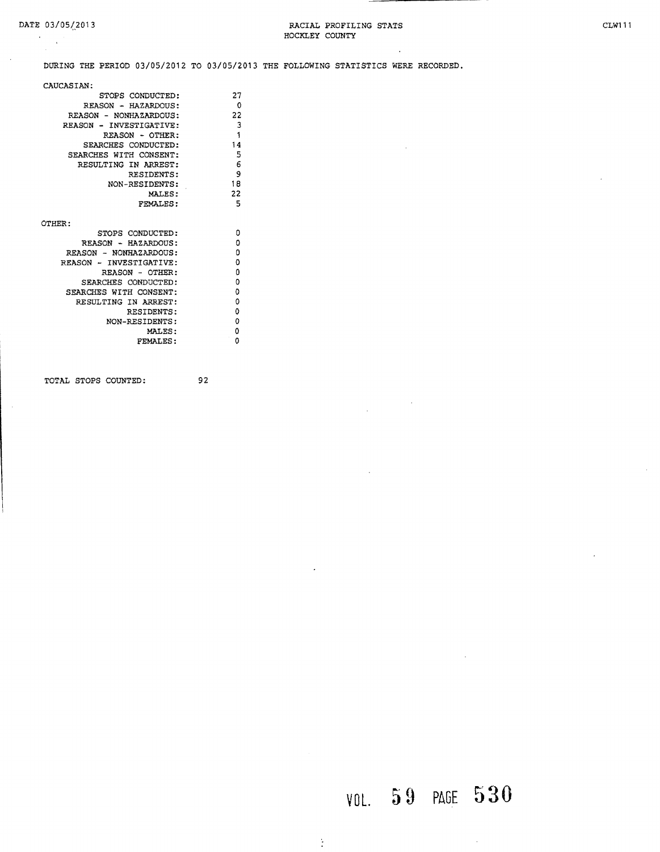$\mathcal{L}_{\mathcal{A}}$ 

 $\ddot{\phantom{1}}$ 

 $\bar{z}$ 

#### DURING THE PERIOD 03/05/2012 TO 03/05/2013 THE FOLLOWING STATISTICS WERE RECORDED.

#### CAUCASIAN:

| STOPS CONDUCTED:        | 27       |
|-------------------------|----------|
| REASON - HAZARDOUS:     | 0        |
| REASON - NONHAZARDOUS:  | 22       |
| REASON - INVESTIGATIVE: | 3        |
| REASON - OTHER:         | 1        |
| SEARCHES CONDUCTED:     | 14       |
| SEARCHES WITH CONSENT:  | 5        |
| RESULTING IN ARREST:    | 6        |
| RESIDENTS:              | 9        |
| NON-RESIDENTS:          | 18       |
| MALES:                  | 22       |
| <b>FEMALES:</b>         | 5        |
| OTHER :                 |          |
| STOPS CONDUCTED:        | n        |
| REASON - HAZARDOUS:     | ٥        |
| REASON - NONHAZARDOUS:  | 0        |
| REASON - INVESTIGATIVE: | 0        |
| REASON - OTHER:         | 0        |
| SEARCHES CONDUCTED:     | 0        |
| SEARCHES WITH CONSENT:  | $\Omega$ |
| RESULTING IN ARREST:    | 0        |
| RESIDENTS:              | ٥        |
| NON-RESIDENTS:          | 0        |
| MALES:                  | 0        |
| FEMALES:                | o        |
|                         |          |

TOTAL STOPS COUNTED: 92

 $\sim$ 

# **VOL. 59 PAGE 530**

 $\frac{1}{2}$ 

 $\hat{\mathcal{A}}$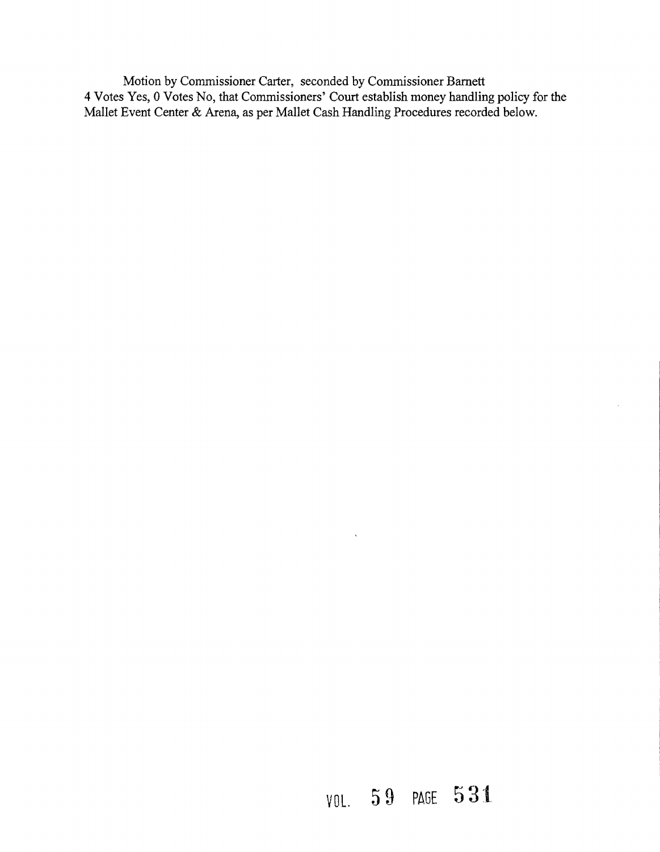Motion by Commissioner Carter, seconded by Commissioner Barnett 4 Votes Yes, 0 Votes No, that Commissioners' Court establish money handling policy for the Mallet Event Center & Arena, as per Mallet Cash Handling Procedures recorded below.

# VOL. 59 PAGE 531

 $\hat{\mathbf{v}}$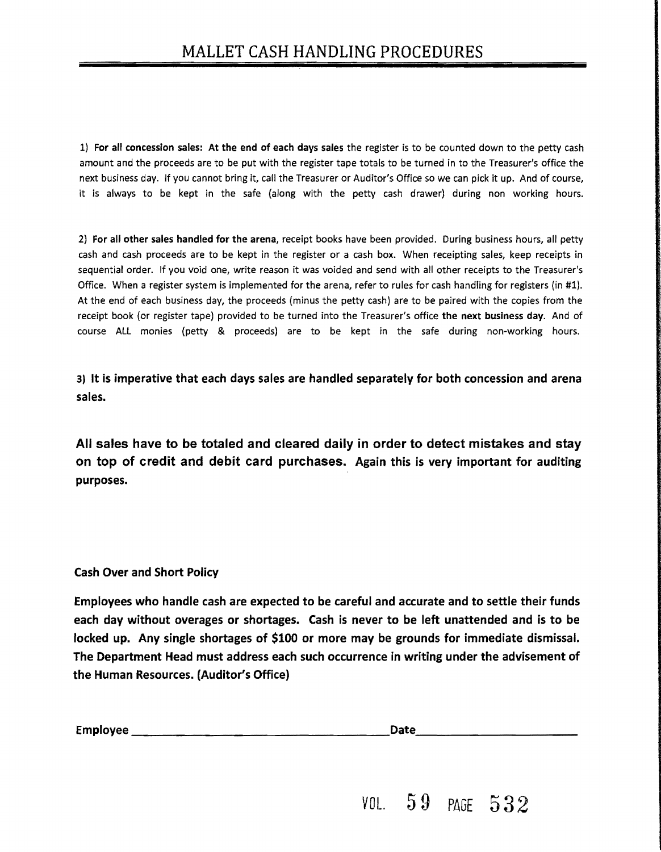1) For all concession sales: At the end of each days sales the register is to be counted down to the petty cash amount and the proceeds are to be put with the register tape totals to be turned in to the Treasurer's office the next business day. If you cannot bring it, call the Treasurer or Auditor's Office so we can pick it up. And of course, it is always to be kept in the safe (along with the petty cash drawer) during non working hours.

2) For all other sales handled for the arena, receipt books have been provided. During business hours, all petty cash and cash proceeds are to be kept in the register or a cash box. When receipting sales, keep receipts in sequential order. If you void one, write reason it was voided and send with all other receipts to the Treasurer's Office. When a register system is implemented for the arena, refer to rules for cash handling for registers (in #1). At the end of each business day, the proceeds (minus the petty cash) are to be paired with the copies from the receipt book (or register tape) provided to be turned into the Treasurer's office the next business day. And of course All monies (petty & proceeds) are to be kept in the safe during non-working hours.

3) It is imperative that each days sales are handled separately for both concession and arena sales.

All sales have to be totaled and cleared daily in order to detect mistakes and stay on top of credit and debit card purchases. Again this is very important for auditing purposes.

Cash Over and Short Policy

Employees who handle cash are expected to be careful and accurate and to settle their funds each day without overages or shortages. Cash is never to be left unattended and is to be locked up. Any single shortages of \$100 or more may be grounds for immediate dismissal. The Department Head must address each such occurrence in writing under the advisement of the Human Resources. (Auditor's Office)

| <b>Employee</b> | Date |
|-----------------|------|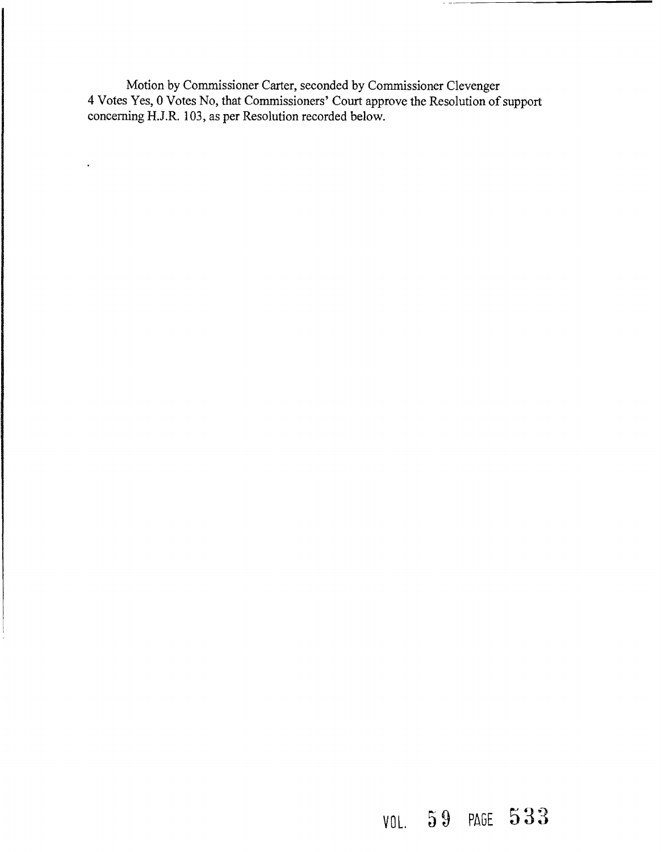Motion by Commissioner Carter, seconded by Commissioner Clevenger 4 Votes Yes, 0 Votes No, that Commissioners' Court approve the Resolution of support concerning H.J.R. 103, as per Resolution recorded below.

 $\hat{\mathbf{r}}$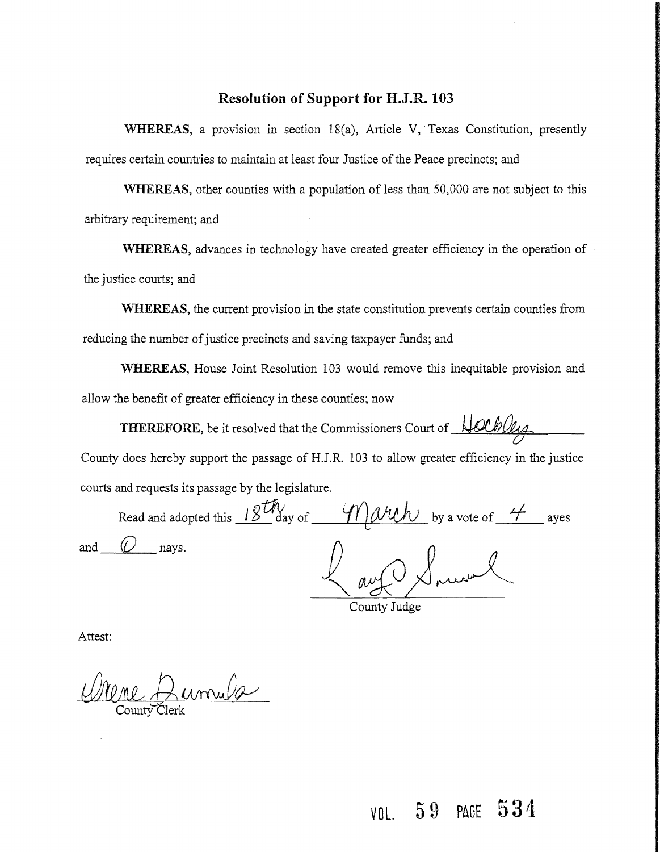#### **Resolution of Support for H.J.R. 103**

WHEREAS, a provision in section 18(a), Article V, Texas Constitution, presently requires certain countries to maintain at least four Justice of the Peace precincts; and

WHEREAS, other counties with a population of less than 50,000 are not subject to this arbitrary requirement; and

WHEREAS, advances in technology have created greater efficiency in the operation of the justice courts; and

WHEREAS, the current provision in the state constitution prevents certain counties from reducing the number of justice precincts and saving taxpayer funds; and

WHEREAS, House Joint Resolution 103 would remove this inequitable provision and allow the benefit of greater efficiency in these counties; now

THEREFORE, be it resolved that the Commissioners Court of *NOChO* County does hereby support the passage of H.J.R. 103 to allow greater efficiency in the justice courts and requests its passage by the legislature.

Read and adopted this  $18^{\text{UV}}$  day of  $\frac{4\text{V}}{4\pi\hbar}$  by a vote of  $\frac{4}{\pi}$  ayes and  $(\mathcal{U})$  nays.

County Judge

Attest:

Where Humula County Clerk

VOL. 5 9 PAGE 53 4